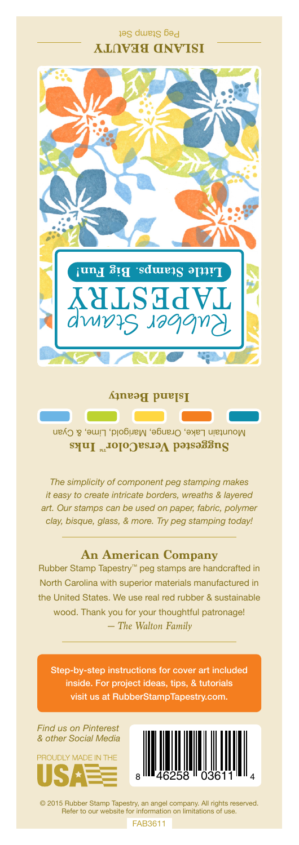## Peg Stamp Set **ISLAND BEAUTY**



**Island Beauty**

Mountain Lake, Orange, Marigold, Lime, & Cyan **Suggested VersaColor** Inks

*The simplicity of component peg stamping makes it easy to create intricate borders, wreaths & layered art. Our stamps can be used on paper, fabric, polymer clay, bisque, glass, & more. Try peg stamping today!*

## **An American Company**

*— The Walton Family* Rubber Stamp Tapestry™ peg stamps are handcrafted in North Carolina with superior materials manufactured in the United States. We use real red rubber & sustainable wood. Thank you for your thoughtful patronage!

Step-by-step instructions for cover art included inside. For project ideas, tips, & tutorials visit us at RubberStampTapestry.com.

*Find us on Pinterest & other Social Media*





© 2015 Rubber Stamp Tapestry, an angel company. All rights reserved. Refer to our website for information on limitations of use.